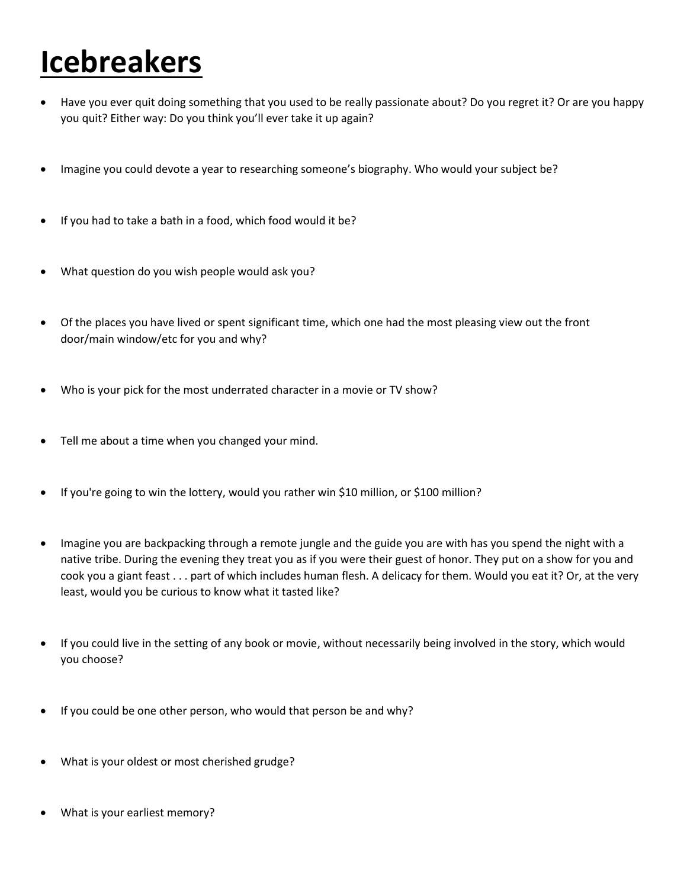## **Icebreakers**

- Have you ever quit doing something that you used to be really passionate about? Do you regret it? Or are you happy you quit? Either way: Do you think you'll ever take it up again?
- Imagine you could devote a year to researching someone's biography. Who would your subject be?
- If you had to take a bath in a food, which food would it be?
- What question do you wish people would ask you?
- Of the places you have lived or spent significant time, which one had the most pleasing view out the front door/main window/etc for you and why?
- Who is your pick for the most underrated character in a movie or TV show?
- Tell me about a time when you changed your mind.
- If you're going to win the lottery, would you rather win \$10 million, or \$100 million?
- Imagine you are backpacking through a remote jungle and the guide you are with has you spend the night with a native tribe. During the evening they treat you as if you were their guest of honor. They put on a show for you and cook you a giant feast . . . part of which includes human flesh. A delicacy for them. Would you eat it? Or, at the very least, would you be curious to know what it tasted like?
- If you could live in the setting of any book or movie, without necessarily being involved in the story, which would you choose?
- If you could be one other person, who would that person be and why?
- What is your oldest or most cherished grudge?
- What is your earliest memory?